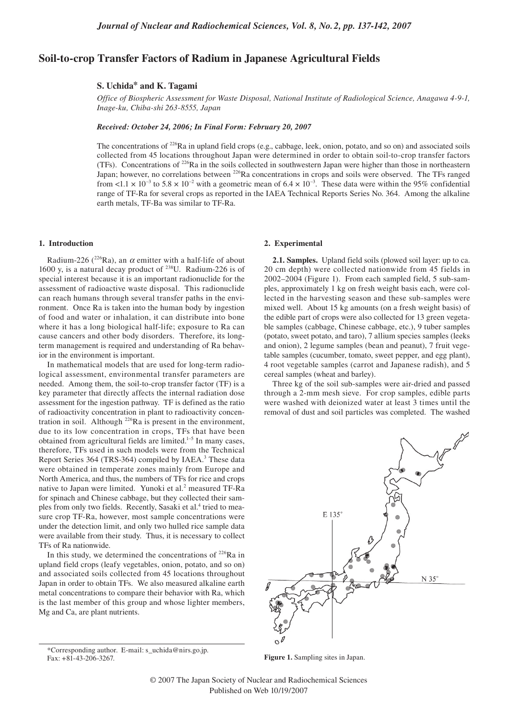# **Soil-to-crop Transfer Factors of Radium in Japanese Agricultural Fields**

# **S. Uchida\* and K. Tagami**

*Office of Biospheric Assessment for Waste Disposal, National Institute of Radiological Science, Anagawa 4-9-1, Inage-ku, Chiba-shi 263-8555, Japan*

*Received: October 24, 2006; In Final Form: February 20, 2007*

The concentrations of <sup>226</sup>Ra in upland field crops (e.g., cabbage, leek, onion, potato, and so on) and associated soils collected from 45 locations throughout Japan were determined in order to obtain soil-to-crop transfer factors (TFs). Concentrations of  $^{226}Ra$  in the soils collected in southwestern Japan were higher than those in northeastern Japan; however, no correlations between <sup>226</sup>Ra concentrations in crops and soils were observed. The TFs ranged from <1.1  $\times$  10<sup>-3</sup> to 5.8  $\times$  10<sup>-2</sup> with a geometric mean of 6.4  $\times$  10<sup>-3</sup>. These data were within the 95% confidential range of TF-Ra for several crops as reported in the IAEA Technical Reports Series No. 364. Among the alkaline earth metals, TF-Ba was similar to TF-Ra.

#### **1. Introduction**

Radium-226 (<sup>226</sup>Ra), an  $\alpha$  emitter with a half-life of about 1600 y, is a natural decay product of  $^{238}$ U. Radium-226 is of special interest because it is an important radionuclide for the assessment of radioactive waste disposal. This radionuclide can reach humans through several transfer paths in the environment. Once Ra is taken into the human body by ingestion of food and water or inhalation, it can distribute into bone where it has a long biological half-life; exposure to Ra can cause cancers and other body disorders. Therefore, its longterm management is required and understanding of Ra behavior in the environment is important.

In mathematical models that are used for long-term radiological assessment, environmental transfer parameters are needed. Among them, the soil-to-crop transfer factor (TF) is a key parameter that directly affects the internal radiation dose assessment for the ingestion pathway. TF is defined as the ratio of radioactivity concentration in plant to radioactivity concentration in soil. Although <sup>226</sup>Ra is present in the environment, due to its low concentration in crops, TFs that have been obtained from agricultural fields are limited.<sup>1-5</sup> In many cases, therefore, TFs used in such models were from the Technical Report Series 364 (TRS-364) compiled by IAEA.<sup>3</sup> These data were obtained in temperate zones mainly from Europe and North America, and thus, the numbers of TFs for rice and crops native to Japan were limited. Yunoki et al.<sup>2</sup> measured TF-Ra for spinach and Chinese cabbage, but they collected their samples from only two fields. Recently, Sasaki et al.<sup>4</sup> tried to measure crop TF-Ra, however, most sample concentrations were under the detection limit, and only two hulled rice sample data were available from their study. Thus, it is necessary to collect TFs of Ra nationwide.

In this study, we determined the concentrations of  $226$ Ra in upland field crops (leafy vegetables, onion, potato, and so on) and associated soils collected from 45 locations throughout Japan in order to obtain TFs. We also measured alkaline earth metal concentrations to compare their behavior with Ra, which is the last member of this group and whose lighter members, Mg and Ca, are plant nutrients.

\*Corresponding author. E-mail: s\_uchida@nirs.go.jp. Fax: +81-43-206-3267.

### **2. Experimental**

**2.1. Samples.** Upland field soils (plowed soil layer: up to ca. 20 cm depth) were collected nationwide from 45 fields in 2002–2004 (Figure 1). From each sampled field, 5 sub-samples, approximately 1 kg on fresh weight basis each, were collected in the harvesting season and these sub-samples were mixed well. About 15 kg amounts (on a fresh weight basis) of the edible part of crops were also collected for 13 green vegetable samples (cabbage, Chinese cabbage, etc.), 9 tuber samples (potato, sweet potato, and taro), 7 allium species samples (leeks and onion), 2 legume samples (bean and peanut), 7 fruit vegetable samples (cucumber, tomato, sweet pepper, and egg plant), 4 root vegetable samples (carrot and Japanese radish), and 5 cereal samples (wheat and barley).

Three kg of the soil sub-samples were air-dried and passed through a 2-mm mesh sieve. For crop samples, edible parts were washed with deionized water at least 3 times until the removal of dust and soil particles was completed. The washed



**Figure 1.** Sampling sites in Japan.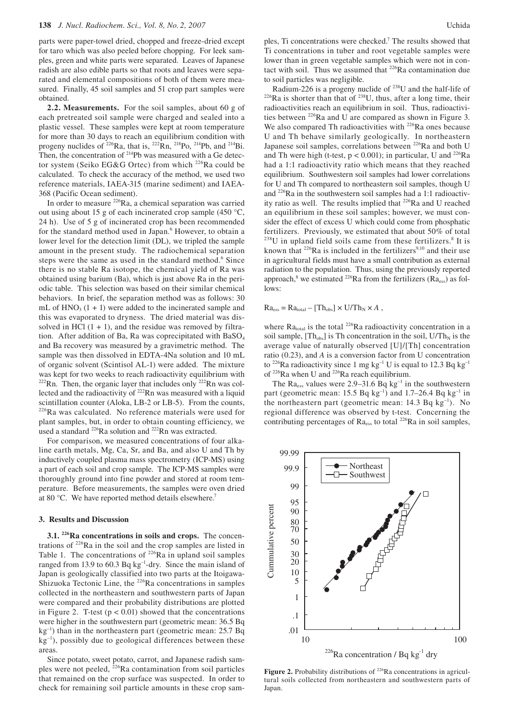parts were paper-towel dried, chopped and freeze-dried except for taro which was also peeled before chopping. For leek samples, green and white parts were separated. Leaves of Japanese radish are also edible parts so that roots and leaves were separated and elemental compositions of both of them were measured. Finally, 45 soil samples and 51 crop part samples were obtained.

**2.2. Measurements.** For the soil samples, about 60 g of each pretreated soil sample were charged and sealed into a plastic vessel. These samples were kept at room temperature for more than 30 days to reach an equilibrium condition with progeny nuclides of  $^{226}$ Ra, that is,  $^{222}$ Rn,  $^{218}$ Po,  $^{214}$ Pb, and  $^{214}$ Bi. Then, the concentration of  $2^{14}Pb$  was measured with a Ge detector system (Seiko EG&G Ortec) from which  $^{226}$ Ra could be calculated. To check the accuracy of the method, we used two reference materials, IAEA-315 (marine sediment) and IAEA-368 (Pacific Ocean sediment).

In order to measure 226Ra, a chemical separation was carried out using about 15 g of each incinerated crop sample (450 °C, 24 h). Use of 5 g of incinerated crop has been recommended for the standard method used in Japan.<sup>6</sup> However, to obtain a lower level for the detection limit (DL), we tripled the sample amount in the present study. The radiochemical separation steps were the same as used in the standard method.<sup>6</sup> Since there is no stable Ra isotope, the chemical yield of Ra was obtained using barium (Ba), which is just above Ra in the periodic table. This selection was based on their similar chemical behaviors. In brief, the separation method was as follows: 30 mL of  $HNO<sub>3</sub>$  (1 + 1) were added to the incinerated sample and this was evaporated to dryness. The dried material was dissolved in HCl  $(1 + 1)$ , and the residue was removed by filtration. After addition of Ba, Ra was coprecipitated with BaSO<sub>4</sub> and Ba recovery was measured by a gravimetric method. The sample was then dissolved in EDTA-4Na solution and 10 mL of organic solvent (Scintisol AL-1) were added. The mixture was kept for two weeks to reach radioactivity equilibrium with  $222$ Rn. Then, the organic layer that includes only  $222$ Rn was collected and the radioactivity of 222Rn was measured with a liquid scintillation counter (Aloka, LB-2 or LB-5). From the counts, 226Ra was calculated. No reference materials were used for plant samples, but, in order to obtain counting efficiency, we used a standard  $^{226}$ Ra solution and  $^{222}$ Rn was extracted.

For comparison, we measured concentrations of four alkaline earth metals, Mg, Ca, Sr, and Ba, and also U and Th by inductively coupled plasma mass spectrometry (ICP-MS) using a part of each soil and crop sample. The ICP-MS samples were thoroughly ground into fine powder and stored at room temperature. Before measurements, the samples were oven dried at 80 °C. We have reported method details elsewhere.<sup>7</sup>

## **3. Results and Discussion**

**3.1. 226Ra concentrations in soils and crops.** The concentrations of 226Ra in the soil and the crop samples are listed in Table 1. The concentrations of  $^{226}$ Ra in upland soil samples ranged from 13.9 to 60.3 Bq kg<sup>-1</sup>-dry. Since the main island of Japan is geologically classified into two parts at the Itoigawa-Shizuoka Tectonic Line, the <sup>226</sup>Ra concentrations in samples collected in the northeastern and southwestern parts of Japan were compared and their probability distributions are plotted in Figure 2. T-test  $(p < 0.01)$  showed that the concentrations were higher in the southwestern part (geometric mean: 36.5 Bq  $kg^{-1}$ ) than in the northeastern part (geometric mean: 25.7 Bq  $kg^{-1}$ ), possibly due to geological differences between these areas.

Since potato, sweet potato, carrot, and Japanese radish samples were not peeled,  $^{226}$ Ra contamination from soil particles that remained on the crop surface was suspected. In order to check for remaining soil particle amounts in these crop sam-

ples, Ti concentrations were checked.<sup>7</sup> The results showed that Ti concentrations in tuber and root vegetable samples were lower than in green vegetable samples which were not in contact with soil. Thus we assumed that <sup>226</sup>Ra contamination due to soil particles was negligible.<br>Radium-226 is a progeny nuclide of  $^{238}$ U and the half-life of

 $226$  Ra is shorter than that of  $238$ U, thus, after a long time, their radioactivities reach an equilibrium in soil. Thus, radioactivities between 226Ra and U are compared as shown in Figure 3. We also compared Th radioactivities with <sup>226</sup>Ra ones because U and Th behave similarly geologically. In northeastern Japanese soil samples, correlations between <sup>226</sup>Ra and both U and Th were high (t-test,  $p < 0.001$ ); in particular, U and <sup>226</sup>Ra had a 1:1 radioactivity ratio which means that they reached equilibrium. Southwestern soil samples had lower correlations for U and Th compared to northeastern soil samples, though U and 226Ra in the southwestern soil samples had a 1:1 radioactivity ratio as well. The results implied that <sup>226</sup>Ra and U reached an equilibrium in these soil samples; however, we must consider the effect of excess U which could come from phosphatic fertilizers. Previously, we estimated that about 50% of total  $^{238}$ U in upland field soils came from these fertilizers.<sup>8</sup> It is known that  $^{226}$ Ra is included in the fertilizers<sup>9,10</sup> and their use in agricultural fields must have a small contribution as external radiation to the population. Thus, using the previously reported approach,<sup>8</sup> we estimated <sup>226</sup>Ra from the fertilizers ( $Ra_{ess}$ ) as follows:

 $Ra_{ess} = Ra_{total} - [Th_{obs}] \times U/Th_N \times A$ ,

where  $Ra<sub>total</sub>$  is the total <sup>226</sup>Ra radioactivity concentration in a soil sample,  $[Th<sub>obs</sub>]$  is Th concentration in the soil,  $U/Th<sub>N</sub>$  is the average value of naturally observed [U]/[Th] concentration ratio (0.23), and *A* is a conversion factor from U concentration to <sup>226</sup>Ra radioactivity since 1 mg kg<sup>-1</sup> U is equal to 12.3 Bq kg<sup>-1</sup> of <sup>226</sup>Ra when U and <sup>226</sup>Ra reach equilibrium.

The  $Ra_{ess}$  values were 2.9–31.6 Bq kg<sup>-1</sup> in the southwestern part (geometric mean: 15.5 Bq kg<sup>-1</sup>) and 1.7-26.4 Bq kg<sup>-1</sup> in the northeastern part (geometric mean:  $14.3$  Bq kg<sup>-1</sup>). No regional difference was observed by t-test. Concerning the contributing percentages of Ra<sub>ess</sub> to total <sup>226</sup>Ra in soil samples,

Figure 2. Probability distributions of <sup>226</sup>Ra concentrations in agricultural soils collected from northeastern and southwestern parts of Japan.

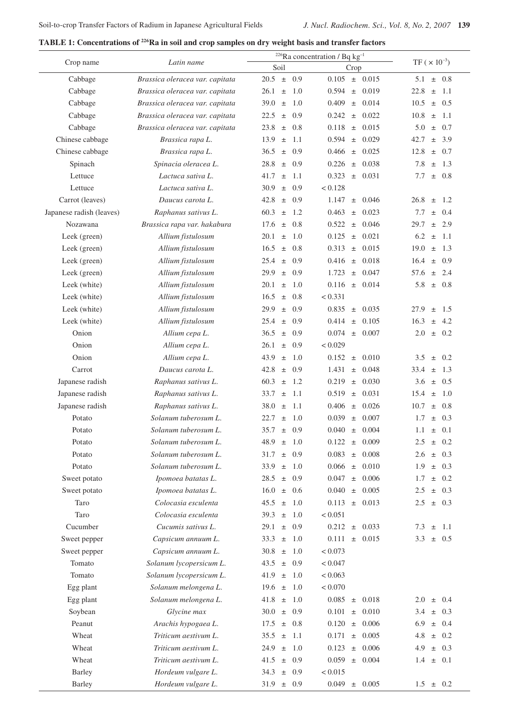**TABLE 1: Concentrations of 226Ra in soil and crop samples on dry weight basis and transfer factors**

|                          | Latin name                      | <sup>226</sup> Ra concentration / Bq $kg^{-1}$<br>TF ( $\times 10^{-3}$ ) |                         |                       |  |
|--------------------------|---------------------------------|---------------------------------------------------------------------------|-------------------------|-----------------------|--|
| Crop name                |                                 | Soil                                                                      | Crop                    |                       |  |
| Cabbage                  | Brassica oleracea var. capitata | 0.9<br>$20.5 \pm$                                                         | 0.105<br>$\pm$ 0.015    | 5.1<br>$\pm$ 0.8      |  |
| Cabbage                  | Brassica oleracea var. capitata | 26.1<br>$\pm$<br>-1.0                                                     | 0.594<br>0.019<br>$\pm$ | 22.8<br>1.1<br>$\pm$  |  |
| Cabbage                  | Brassica oleracea var. capitata | 39.0<br>1.0<br>$\pm$                                                      | 0.409<br>$\pm$ 0.014    | 10.5<br>$\pm$ 0.5     |  |
| Cabbage                  | Brassica oleracea var. capitata | 22.5<br>0.9<br>$\pm$                                                      | $\pm$ 0.022<br>0.242    | $\pm$ 1.1<br>10.8     |  |
| Cabbage                  | Brassica oleracea var. capitata | 23.8<br>0.8<br>$\pm$                                                      | 0.118<br>$\pm$ 0.015    | 5.0<br>0.7<br>$\pm$   |  |
| Chinese cabbage          | Brassica rapa L.                | 13.9<br>1.1<br>$\pm$                                                      | 0.594<br>$±$ 0.029      | $\pm$ 3.9<br>42.7     |  |
| Chinese cabbage          | Brassica rapa L.                | 36.5<br>0.9<br>$\pm$                                                      | 0.466<br>0.025<br>$\pm$ | 12.8<br>$\pm$ 0.7     |  |
| Spinach                  | Spinacia oleracea L.            | 28.8<br>0.9<br>$\pm$                                                      | 0.226<br>0.038<br>$\pm$ | 7.8<br>1.3<br>$\pm$   |  |
| Lettuce                  | Lactuca sativa L.               | 41.7<br>-1.1<br>$\pm$                                                     | 0.323<br>$\pm$ 0.031    | $\pm$ 0.8<br>7.7      |  |
| Lettuce                  | Lactuca sativa L.               | 30.9<br>0.9<br>$\pm$                                                      | < 0.128                 |                       |  |
| Carrot (leaves)          | Daucus carota L.                | 42.8<br>0.9<br>$\pm$                                                      | 1.147<br>$±$ 0.046      | 26.8<br>1.2<br>$\pm$  |  |
| Japanese radish (leaves) | Raphanus sativus L.             | 60.3<br>1.2<br>$\pm$                                                      | 0.463<br>0.023<br>$\pm$ | 7.7<br>$\pm$ 0.4      |  |
| Nozawana                 | Brassica rapa var. hakabura     | 0.8<br>17.6<br>$\pm$                                                      | 0.522<br>$\pm$ 0.046    | 29.7<br>$\pm$ 2.9     |  |
| Leek (green)             | Allium fistulosum               | 1.0<br>20.1<br>$\pm$                                                      | 0.125<br>0.021<br>$\pm$ | 6.2<br>1.1<br>$\pm$   |  |
| Leek (green)             | Allium fistulosum               | 16.5<br>$\pm$ 0.8                                                         | $\pm$ 0.015<br>0.313    | 1.3<br>19.0<br>$\pm$  |  |
| Leek (green)             | Allium fistulosum               | $25.4 \pm$<br>0.9                                                         | 0.416<br>$\pm$ 0.018    | $\pm$ 0.9<br>16.4     |  |
| Leek (green)             | Allium fistulosum               | 29.9<br>0.9<br>$\pm$                                                      | 1.723<br>$±$ 0.047      | 2.4<br>57.6<br>$\pm$  |  |
| Leek (white)             | Allium fistulosum               | 20.1<br>-1.0<br>$\pm$                                                     | $0.116 \pm 0.014$       | 5.8<br>$\pm$ 0.8      |  |
| Leek (white)             | Allium fistulosum               | 16.5<br>0.8<br>$\pm$                                                      | < 0.331                 |                       |  |
| Leek (white)             | Allium fistulosum               | 0.9<br>29.9<br>$\pm$                                                      | $\pm$ 0.035<br>0.835    | 27.9<br>1.5<br>$\pm$  |  |
| Leek (white)             | Allium fistulosum               | 0.9<br>25.4<br>$\pm$                                                      | 0.414<br>0.105<br>$\pm$ | 16.3<br>$\pm$ 4.2     |  |
| Onion                    | Allium cepa L.                  | 36.5<br>0.9<br>$\pm$                                                      | 0.074<br>$\pm$ 0.007    | 2.0<br>0.2<br>$\pm$   |  |
| Onion                    | Allium cepa L.                  | 26.1<br>0.9<br>$\pm$                                                      | < 0.029                 |                       |  |
| Onion                    | Allium cepa L.                  | 43.9<br>1.0<br>$\pm$                                                      | 0.152<br>$\pm$ 0.010    | 0.2<br>3.5<br>$\pm$   |  |
| Carrot                   | Daucus carota L.                | 42.8<br>0.9<br>$\pm$                                                      | 1.431<br>0.048<br>$\pm$ | 33.4<br>1.3<br>$\pm$  |  |
| Japanese radish          | Raphanus sativus L.             | $\pm$ 1.2<br>60.3                                                         | 0.219<br>$\pm$ 0.030    | $\pm$ 0.5<br>3.6      |  |
| Japanese radish          | Raphanus sativus L.             | 33.7<br>1.1<br>$\pm$                                                      | 0.519<br>$\pm$ 0.031    | 15.4<br>-1.0<br>$\pm$ |  |
| Japanese radish          | Raphanus sativus L.             | 1.1<br>38.0<br>$\pm$                                                      | 0.406<br>$±$ 0.026      | 10.7<br>$\pm$ 0.8     |  |
| Potato                   | Solanum tuberosum L.            | 22.7<br>$\pm$ 1.0                                                         | 0.039<br>0.007<br>$\pm$ | $\pm$ 0.3<br>1.7      |  |
| Potato                   | Solanum tuberosum L.            | 35.7<br>0.9<br>士                                                          | 0.040<br>0.004<br>土     | $1.1 \pm 0.1$         |  |
| Potato                   | Solanum tuberosum L.            | 1.0<br>48.9<br>$\pm$                                                      | ± 0.009<br>0.122        | $\pm$ 0.2<br>2.5      |  |
| Potato                   | Solanum tuberosum L.            | 31.7<br>0.9<br>$\pm$                                                      | ± 0.008<br>0.083        | $\pm$ 0.3<br>2.6      |  |
| Potato                   | Solanum tuberosum L.            | 33.9<br>$\pm$ 1.0                                                         | $0.066 \pm 0.010$       | 1.9<br>$\pm$ 0.3      |  |
| Sweet potato             | Ipomoea batatas L.              | $28.5 \pm 0.9$                                                            | 0.047<br>$\pm$ 0.006    | $\pm$ 0.2<br>1.7      |  |
| Sweet potato             | Ipomoea batatas L.              | 16.0<br>$\pm$ 0.6                                                         | $\pm$ 0.005<br>0.040    | $\pm$ 0.3<br>2.5      |  |
| Taro                     | Colocasia esculenta             | 45.5<br>1.0<br>$\pm$                                                      | 0.113<br>$\pm$ 0.013    | 2.5<br>$\pm$ 0.3      |  |
| Taro                     | Colocasia esculenta             | 39.3<br>$\pm$ 1.0                                                         | < 0.051                 |                       |  |
| Cucumber                 | Cucumis sativus L.              | $29.1 \pm 0.9$                                                            | 0.212<br>$\pm$ 0.033    | 7.3<br>$\pm$<br>1.1   |  |
| Sweet pepper             | Capsicum annuum L.              | $33.3 \pm 1.0$                                                            | 0.111<br>$\pm$ 0.015    | 3.3<br>$\pm$ 0.5      |  |
| Sweet pepper             | Capsicum annuum L.              | $30.8 \pm 1.0$                                                            | < 0.073                 |                       |  |
| Tomato                   | Solanum lycopersicum L.         | $43.5 \pm 0.9$                                                            | < 0.047                 |                       |  |
| Tomato                   | Solanum lycopersicum L.         | 41.9 $\pm$<br>1.0                                                         | < 0.063                 |                       |  |
| Egg plant                | Solanum melongena L.            | $19.6 \pm 1.0$                                                            | < 0.070                 |                       |  |
| Egg plant                | Solanum melongena L.            | $41.8 \pm 1.0$                                                            | $\pm$ 0.018<br>0.085    | 2.0<br>$\pm$ 0.4      |  |
| Soybean                  | Glycine max                     | $30.0 \pm 0.9$                                                            | $\pm$ 0.010<br>0.101    | $\pm$ 0.3<br>3.4      |  |
| Peanut                   | Arachis hypogaea L.             | $\pm$ 0.8<br>17.5                                                         | 0.120<br>$\pm$ 0.006    | $\pm$ 0.4<br>6.9      |  |
| Wheat                    | Triticum aestivum L.            | 35.5<br>$\pm$ 1.1                                                         | 0.171<br>$±$ 0.005      | 4.8<br>$\pm$ 0.2      |  |
| Wheat                    | Triticum aestivum L.            | $24.9 \pm 1.0$                                                            | 0.123<br>$\pm$ 0.006    | $\pm$ 0.3<br>4.9      |  |
| Wheat                    | Triticum aestivum L.            | $\pm$ 0.9<br>41.5                                                         | 0.059<br>$\pm$ 0.004    | $\pm$ 0.1<br>1.4      |  |
| <b>Barley</b>            | Hordeum vulgare L.              | 34.3<br>$\pm$ 0.9                                                         | < 0.015                 |                       |  |
| <b>Barley</b>            | Hordeum vulgare L.              | $31.9 \pm 0.9$                                                            | 0.049<br>$\pm$ 0.005    | $1.5 \pm 0.2$         |  |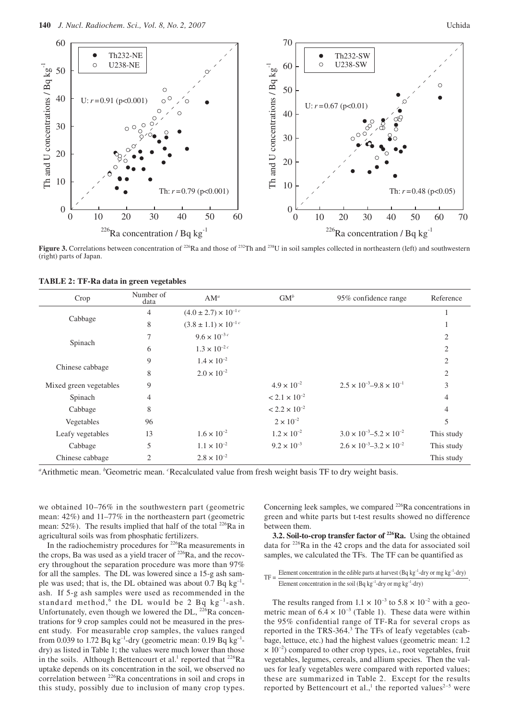

**Figure 3.** Correlations between concentration of <sup>226</sup>Ra and those of <sup>232</sup>Th and <sup>238</sup>U in soil samples collected in northeastern (left) and southwestern (right) parts of Japan.

| Crop                   | Number of<br>data | $AM^a$                           | $GM^b$                 | 95% confidence range                      | Reference      |
|------------------------|-------------------|----------------------------------|------------------------|-------------------------------------------|----------------|
| Cabbage                | 4                 | $(4.0 \pm 2.7) \times 10^{-1}$ c |                        |                                           |                |
|                        | 8                 | $(3.8 \pm 1.1) \times 10^{-1}$ c |                        |                                           |                |
| Spinach                | 7                 | $9.6 \times 10^{-3}$             |                        |                                           | $\overline{c}$ |
|                        | 6                 | $1.3 \times 10^{-2}$             |                        |                                           | 2              |
| Chinese cabbage        | 9                 | $1.4 \times 10^{-2}$             |                        |                                           | $\overline{c}$ |
|                        | 8                 | $2.0 \times 10^{-2}$             |                        |                                           | 2              |
| Mixed green vegetables | 9                 |                                  | $4.9 \times 10^{-2}$   | $2.5 \times 10^{-3} - 9.8 \times 10^{-1}$ | 3              |
| Spinach                | $\overline{4}$    |                                  | $< 2.1 \times 10^{-2}$ |                                           | 4              |
| Cabbage                | 8                 |                                  | $< 2.2 \times 10^{-2}$ |                                           | 4              |
| Vegetables             | 96                |                                  | $2 \times 10^{-2}$     |                                           | 5              |
| Leafy vegetables       | 13                | $1.6 \times 10^{-2}$             | $1.2 \times 10^{-2}$   | $3.0 \times 10^{-3} - 5.2 \times 10^{-2}$ | This study     |
| Cabbage                | 5                 | $1.1 \times 10^{-2}$             | $9.2 \times 10^{-3}$   | $2.6 \times 10^{-3} - 3.2 \times 10^{-2}$ | This study     |
| Chinese cabbage        | 2                 | $2.8 \times 10^{-2}$             |                        |                                           | This study     |

|  |  |  |  |  |  | TABLE 2: TF-Ra data in green vegetables |
|--|--|--|--|--|--|-----------------------------------------|
|--|--|--|--|--|--|-----------------------------------------|

<sup>a</sup>Arithmetic mean. <sup>*b*</sup>Geometric mean. <sup>*c*</sup>Recalculated value from fresh weight basis TF to dry weight basis.

we obtained 10–76% in the southwestern part (geometric mean: 42%) and 11–77% in the northeastern part (geometric mean: 52%). The results implied that half of the total <sup>226</sup>Ra in agricultural soils was from phosphatic fertilizers.

In the radiochemistry procedures for 226Ra measurements in the crops, Ba was used as a yield tracer of  $^{226}$ Ra, and the recovery throughout the separation procedure was more than 97% for all the samples. The DL was lowered since a 15-g ash sample was used; that is, the DL obtained was about 0.7 Bq kg–1 ash. If 5-g ash samples were used as recommended in the standard method,<sup>6</sup> the DL would be 2 Bq  $kg^{-1}$ -ash. Unfortunately, even though we lowered the DL, <sup>226</sup>Ra concentrations for 9 crop samples could not be measured in the present study. For measurable crop samples, the values ranged from 0.039 to 1.72 Bq kg<sup>-1</sup>-dry (geometric mean: 0.19 Bq kg<sup>-1</sup>dry) as listed in Table 1; the values were much lower than those in the soils. Although Bettencourt et al.<sup>1</sup> reported that  $^{226}Ra$ uptake depends on its concentration in the soil, we observed no correlation between 226Ra concentrations in soil and crops in this study, possibly due to inclusion of many crop types.

Concerning leek samples, we compared <sup>226</sup>Ra concentrations in green and white parts but t-test results showed no difference between them.

**3.2. Soil-to-crop transfer factor of <sup>226</sup>Ra.** Using the obtained data for 226Ra in the 42 crops and the data for associated soil samples, we calculated the TFs. The TF can be quantified as

TF =  $\frac{\text{Element concentration in the edible parts at harvest (Bq kg<sup>-1</sup>-dry or mg kg<sup>-1</sup>-dry)}{\text{Element concentration in the soil (Bq kg<sup>-1</sup>-dry or mg kg<sup>-1</sup>-dry)}}$ 

The results ranged from  $1.1 \times 10^{-3}$  to  $5.8 \times 10^{-2}$  with a geometric mean of  $6.4 \times 10^{-3}$  (Table 1). These data were within the 95% confidential range of TF-Ra for several crops as reported in the TRS-364.<sup>3</sup> The TFs of leafy vegetables (cabbage, lettuce, etc.) had the highest values (geometric mean: 1.2  $\times$  10<sup>-2</sup>) compared to other crop types, i.e., root vegetables, fruit vegetables, legumes, cereals, and allium species. Then the values for leafy vegetables were compared with reported values; these are summarized in Table 2. Except for the results reported by Bettencourt et al.,<sup>1</sup> the reported values<sup>2-5</sup> were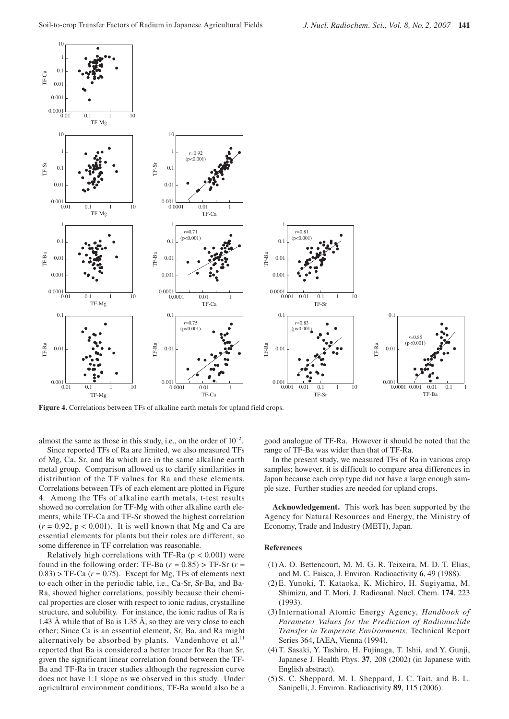

**Figure 4.** Correlations between TFs of alkaline earth metals for upland field crops.

almost the same as those in this study, i.e., on the order of  $10^{-2}$ .

Since reported TFs of Ra are limited, we also measured TFs of Mg, Ca, Sr, and Ba which are in the same alkaline earth metal group. Comparison allowed us to clarify similarities in distribution of the TF values for Ra and these elements. Correlations between TFs of each element are plotted in Figure 4. Among the TFs of alkaline earth metals, t-test results showed no correlation for TF-Mg with other alkaline earth elements, while TF-Ca and TF-Sr showed the highest correlation  $(r = 0.92, p < 0.001)$ . It is well known that Mg and Ca are essential elements for plants but their roles are different, so some difference in TF correlation was reasonable.

Relatively high correlations with TF-Ra ( $p < 0.001$ ) were found in the following order: TF-Ba  $(r = 0.85)$  > TF-Sr  $(r =$  $0.83$ ) > TF-Ca ( $r = 0.75$ ). Except for Mg, TFs of elements next to each other in the periodic table, i.e., Ca-Sr, Sr-Ba, and Ba-Ra, showed higher correlations, possibly because their chemical properties are closer with respect to ionic radius, crystalline structure, and solubility. For instance, the ionic radius of Ra is 1.43 Å while that of Ba is 1.35 Å, so they are very close to each other; Since Ca is an essential element, Sr, Ba, and Ra might alternatively be absorbed by plants. Vandenhove et al. $<sup>11</sup>$ </sup> reported that Ba is considered a better tracer for Ra than Sr, given the significant linear correlation found between the TF-Ba and TF-Ra in tracer studies although the regression curve does not have 1:1 slope as we observed in this study. Under agricultural environment conditions, TF-Ba would also be a

good analogue of TF-Ra. However it should be noted that the range of TF-Ba was wider than that of TF-Ra.

In the present study, we measured TFs of Ra in various crop samples; however, it is difficult to compare area differences in Japan because each crop type did not have a large enough sample size. Further studies are needed for upland crops.

**Acknowledgement.** This work has been supported by the Agency for Natural Resources and Energy, the Ministry of Economy, Trade and Industry (METI), Japan.

#### **References**

- (1) A. O. Bettencourt, M. M. G. R. Teixeira, M. D. T. Elias, and M. C. Faisca, J. Environ. Radioactivity **6**, 49 (1988).
- (2) E. Yunoki, T. Kataoka, K. Michiro, H. Sugiyama, M. Shimizu, and T. Mori, J. Radioanal. Nucl. Chem. **174**, 223 (1993).
- (3) International Atomic Energy Agency, *Handbook of Parameter Values for the Prediction of Radionuclide Transfer in Temperate Environments,* Technical Report Series 364, IAEA, Vienna (1994).
- (4) T. Sasaki, Y. Tashiro, H. Fujinaga, T. Ishii, and Y. Gunji, Japanese J. Health Phys. **37**, 208 (2002) (in Japanese with English abstract).
- (5) S. C. Sheppard, M. I. Sheppard, J. C. Tait, and B. L. Sanipelli, J. Environ. Radioactivity **89**, 115 (2006).